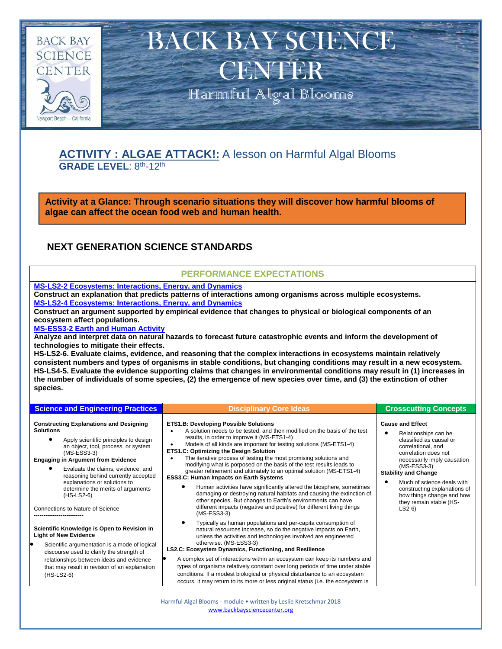

## **ACTIVITY : ALGAE ATTACK!:** A lesson on Harmful Algal Blooms GRADE LEVEL: 8<sup>th</sup>-12<sup>th</sup>

**Activity at a Glance: Through scenario situations they will discover how harmful blooms of algae can affect the ocean food web and human health.** 

### **NEXT GENERATION SCIENCE STANDARDS**

#### **PERFORMANCE EXPECTATIONS**

**[MS-LS2-2 Ecosystems: Interactions, Energy, and Dynamics](https://www.nextgenscience.org/pe/ms-ls2-2-ecosystems-interactions-energy-and-dynamics) Construct an explanation that predicts patterns of interactions among organisms across multiple ecosystems. [MS-LS2-4 Ecosystems: Interactions, Energy, and Dynamics](https://www.nextgenscience.org/pe/ms-ls2-4-ecosystems-interactions-energy-and-dynamics)**

**Construct an argument supported by empirical evidence that changes to physical or biological components of an ecosystem affect populations.**

#### **[MS-ESS3-2 Earth and Human Activity](https://www.nextgenscience.org/pe/ms-ess3-2-earth-and-human-activity)**

**Analyze and interpret data on natural hazards to forecast future catastrophic events and inform the development of technologies to mitigate their effects.**

**HS-LS2-6. Evaluate claims, evidence, and reasoning that the complex interactions in ecosystems maintain relatively consistent numbers and types of organisms in stable conditions, but changing conditions may result in a new ecosystem. HS-LS4-5. Evaluate the evidence supporting claims that changes in environmental conditions may result in (1) increases in the number of individuals of some species, (2) the emergence of new species over time, and (3) the extinction of other species.**

| <b>Science and Engineering Practices</b>                                                                                                                                                                                                                                                                                                                                                                               | <b>Disciplinary Core Ideas</b>                                                                                                                                                                                                                                                                                                                                                                                                                                                                                                                                                                                                                                                                                                                                                                                                                                                        | <b>Crosscutting Concepts</b>                                                                                                                                                                                                                                                                                                             |
|------------------------------------------------------------------------------------------------------------------------------------------------------------------------------------------------------------------------------------------------------------------------------------------------------------------------------------------------------------------------------------------------------------------------|---------------------------------------------------------------------------------------------------------------------------------------------------------------------------------------------------------------------------------------------------------------------------------------------------------------------------------------------------------------------------------------------------------------------------------------------------------------------------------------------------------------------------------------------------------------------------------------------------------------------------------------------------------------------------------------------------------------------------------------------------------------------------------------------------------------------------------------------------------------------------------------|------------------------------------------------------------------------------------------------------------------------------------------------------------------------------------------------------------------------------------------------------------------------------------------------------------------------------------------|
| <b>Constructing Explanations and Designing</b><br><b>Solutions</b><br>Apply scientific principles to design<br>an object, tool, process, or system<br>$(MS-ESS3-3)$<br><b>Engaging in Argument from Evidence</b><br>Evaluate the claims, evidence, and<br>reasoning behind currently accepted<br>explanations or solutions to<br>determine the merits of arguments<br>$(HS-LS2-6)$<br>Connections to Nature of Science | <b>ETS1.B: Developing Possible Solutions</b><br>A solution needs to be tested, and then modified on the basis of the test<br>results, in order to improve it (MS-ETS1-4)<br>Models of all kinds are important for testing solutions (MS-ETS1-4)<br><b>ETS1.C: Optimizing the Design Solution</b><br>The iterative process of testing the most promising solutions and<br>٠<br>modifying what is porposed on the basis of the test results leads to<br>greater refinement and ultimately to an optimal solution (MS-ETS1-4)<br><b>ESS3.C: Human Impacts on Earth Systems</b><br>Human activities have significantly altered the biosphere, sometimes<br>damaging or destroying natural habitats and causing the extinction of<br>other species. But changes to Earth's environments can have<br>different impacts (negative and positive) for different living things<br>$(MS-ESS3-3)$ | <b>Cause and Effect</b><br>Relationships can be<br>classified as causal or<br>correlational, and<br>correlation does not<br>necessarily imply causation<br>$(MS-ESS3-3)$<br><b>Stability and Change</b><br>Much of science deals with<br>constructing explanations of<br>how things change and how<br>they remain stable (HS-<br>$LS2-6$ |
| Scientific Knowledge is Open to Revision in<br><b>Light of New Evidence</b><br>Scientific argumentation is a mode of logical<br>discourse used to clarify the strength of<br>relationships between ideas and evidence<br>that may result in revision of an explanation<br>(HS-LS2-6)                                                                                                                                   | Typically as human populations and per-capita consumption of<br>natural resources increase, so do the negative impacts on Earth,<br>unless the activities and technologies involved are engineered<br>otherwise. (MS-ESS3-3)<br>LS2.C: Ecosystem Dynamics, Functioning, and Resilience<br>A complex set of interactions within an ecosystem can keep its numbers and<br>types of organisms relatively constant over long periods of time under stable<br>conditions. If a modest biological or physical disturbance to an ecosystem<br>occurs, it may return to its more or less original status (i.e. the ecosystem is                                                                                                                                                                                                                                                               |                                                                                                                                                                                                                                                                                                                                          |

Harmful Algal Blooms - module • written by Leslie Kretschmar 2018 [www.backbaysciencecenter.org](http://www.backbaysciencecenter.org/)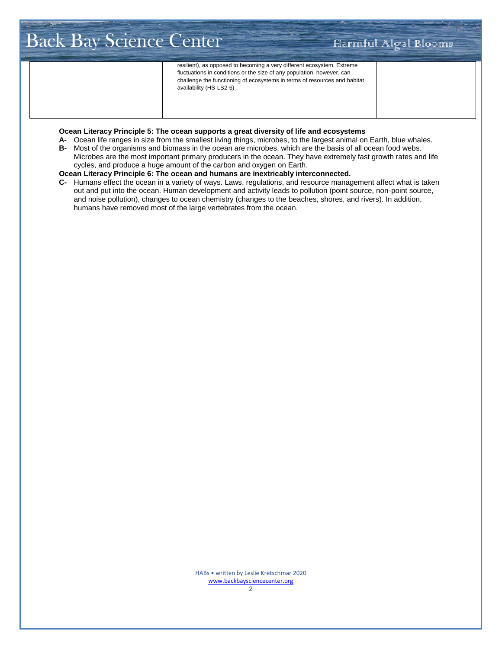# Back Bay Science Center Harmful Algal Blooms

resilient), as opposed to becoming a very different ecosystem. Extreme fluctuations in conditions or the size of any population, however, can challenge the functioning of ecosystems in terms of resources and habitat availability (HS-LS2-6)

#### **Ocean Literacy Principle 5: The ocean supports a great diversity of life and ecosystems**

- **A-** Ocean life ranges in size from the smallest living things, microbes, to the largest animal on Earth, blue whales.
- **B-** Most of the organisms and biomass in the ocean are microbes, which are the basis of all ocean food webs. Microbes are the most important primary producers in the ocean. They have extremely fast growth rates and life
	- cycles, and produce a huge amount of the carbon and oxygen on Earth.

#### **Ocean Literacy Principle 6: The ocean and humans are inextricably interconnected.**

**C-** Humans effect the ocean in a variety of ways. Laws, regulations, and resource management affect what is taken out and put into the ocean. Human development and activity leads to pollution (point source, non-point source, and noise pollution), changes to ocean chemistry (changes to the beaches, shores, and rivers). In addition, humans have removed most of the large vertebrates from the ocean.

> HABs • written by Leslie Kretschmar 2020 [www.backbaysciencecenter.org](http://www.backbaysciencecenter.org/)

2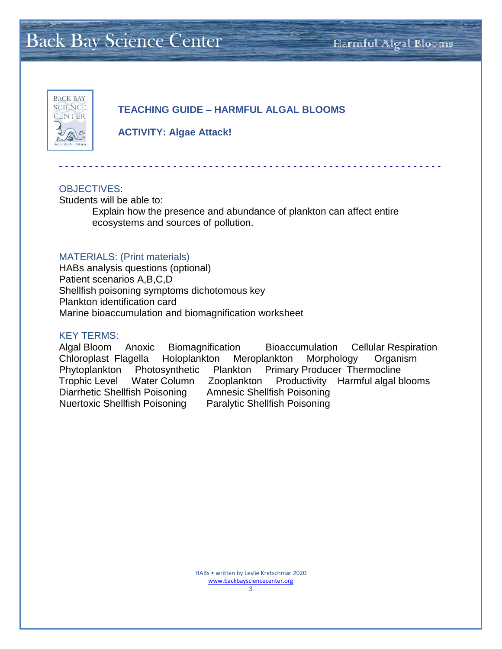# Back Bay Science Center Harmful Algal Blooms



### **TEACHING GUIDE – HARMFUL ALGAL BLOOMS**

**ACTIVITY: Algae Attack!**

#### OBJECTIVES:

Students will be able to:

Explain how the presence and abundance of plankton can affect entire ecosystems and sources of pollution.

- - - - - - - - - - - - - - - - - - - - - - - - - - - - - - - - - - - - - - - - - - - - - - - - - - - - - - - - - - - - - - - -

#### MATERIALS: (Print materials)

HABs analysis questions (optional) Patient scenarios A,B,C,D Shellfish poisoning symptoms dichotomous key Plankton identification card Marine bioaccumulation and biomagnification worksheet

#### KEY TERMS:

Algal Bloom Anoxic Biomagnification Bioaccumulation Cellular Respiration Chloroplast Flagella Holoplankton Meroplankton Morphology Organism Phytoplankton Photosynthetic Plankton Primary Producer Thermocline Trophic Level Water Column Zooplankton Productivity Harmful algal blooms Diarrhetic Shellfish Poisoning Amnesic Shellfish Poisoning Nuertoxic Shellfish Poisoning Paralytic Shellfish Poisoning

> HABs • written by Leslie Kretschmar 2020 [www.backbaysciencecenter.org](http://www.backbaysciencecenter.org/) 3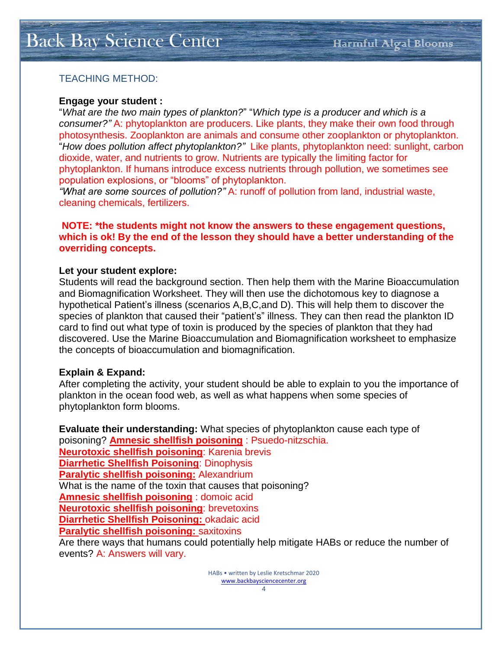# Back Bay Science Center Harmful Algal Blooms

### TEACHING METHOD:

#### **Engage your student :**

"*What are the two main types of plankton?*" "*Which type is a producer and which is a consumer?"* A: phytoplankton are producers. Like plants, they make their own food through photosynthesis. Zooplankton are animals and consume other zooplankton or phytoplankton. "*How does pollution affect phytoplankton?"* Like plants, phytoplankton need: sunlight, carbon dioxide, water, and nutrients to grow. Nutrients are typically the limiting factor for phytoplankton. If humans introduce excess nutrients through pollution, we sometimes see population explosions, or "blooms" of phytoplankton.

*"What are some sources of pollution?"* A: runoff of pollution from land, industrial waste, cleaning chemicals, fertilizers.

#### **NOTE: \*the students might not know the answers to these engagement questions, which is ok! By the end of the lesson they should have a better understanding of the overriding concepts.**

#### **Let your student explore:**

Students will read the background section. Then help them with the Marine Bioaccumulation and Biomagnification Worksheet. They will then use the dichotomous key to diagnose a hypothetical Patient's illness (scenarios A,B,C,and D). This will help them to discover the species of plankton that caused their "patient's" illness. They can then read the plankton ID card to find out what type of toxin is produced by the species of plankton that they had discovered. Use the Marine Bioaccumulation and Biomagnification worksheet to emphasize the concepts of bioaccumulation and biomagnification.

#### **Explain & Expand:**

After completing the activity, your student should be able to explain to you the importance of plankton in the ocean food web, as well as what happens when some species of phytoplankton form blooms.

**Evaluate their understanding:** What species of phytoplankton cause each type of poisoning? **Amnesic shellfish poisoning** : Psuedo-nitzschia. **Neurotoxic shellfish poisoning**: Karenia brevis **Diarrhetic Shellfish Poisoning**: Dinophysis **Paralytic shellfish poisoning:** Alexandrium What is the name of the toxin that causes that poisoning? **Amnesic shellfish poisoning** : domoic acid **Neurotoxic shellfish poisoning**: brevetoxins **Diarrhetic Shellfish Poisoning:** okadaic acid **Paralytic shellfish poisoning:** saxitoxins Are there ways that humans could potentially help mitigate HABs or reduce the number of events? A: Answers will vary.

> HABs • written by Leslie Kretschmar 2020 [www.backbaysciencecenter.org](http://www.backbaysciencecenter.org/) 4